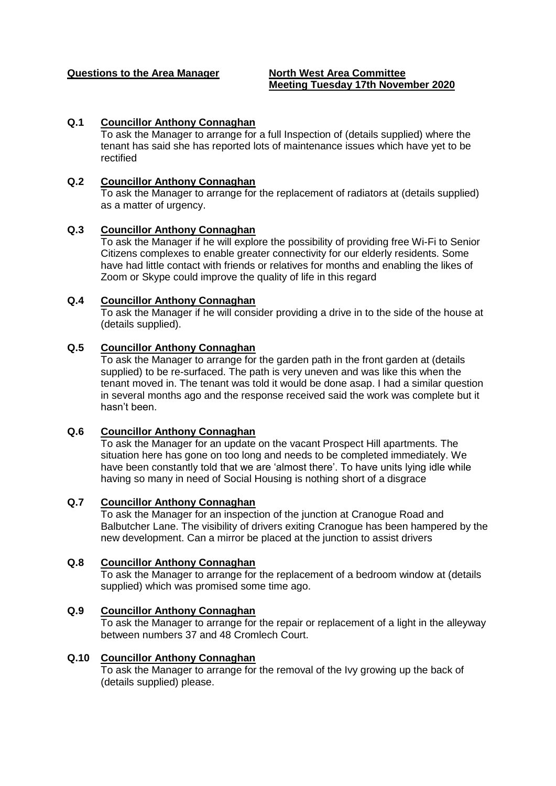#### **Questions to the Area Manager North West Area Committee**

# **Meeting Tuesday 17th November 2020**

#### **Q.1 Councillor Anthony Connaghan**

To ask the Manager to arrange for a full Inspection of (details supplied) where the tenant has said she has reported lots of maintenance issues which have yet to be rectified

#### **Q.2 Councillor Anthony Connaghan**

To ask the Manager to arrange for the replacement of radiators at (details supplied) as a matter of urgency.

#### **Q.3 Councillor Anthony Connaghan**

To ask the Manager if he will explore the possibility of providing free Wi-Fi to Senior Citizens complexes to enable greater connectivity for our elderly residents. Some have had little contact with friends or relatives for months and enabling the likes of Zoom or Skype could improve the quality of life in this regard

#### **Q.4 Councillor Anthony Connaghan**

To ask the Manager if he will consider providing a drive in to the side of the house at (details supplied).

#### **Q.5 Councillor Anthony Connaghan**

To ask the Manager to arrange for the garden path in the front garden at (details supplied) to be re-surfaced. The path is very uneven and was like this when the tenant moved in. The tenant was told it would be done asap. I had a similar question in several months ago and the response received said the work was complete but it hasn't been.

#### **Q.6 Councillor Anthony Connaghan**

To ask the Manager for an update on the vacant Prospect Hill apartments. The situation here has gone on too long and needs to be completed immediately. We have been constantly told that we are 'almost there'. To have units lying idle while having so many in need of Social Housing is nothing short of a disgrace

#### **Q.7 Councillor Anthony Connaghan**

To ask the Manager for an inspection of the junction at Cranogue Road and Balbutcher Lane. The visibility of drivers exiting Cranogue has been hampered by the new development. Can a mirror be placed at the junction to assist drivers

#### **Q.8 Councillor Anthony Connaghan**

To ask the Manager to arrange for the replacement of a bedroom window at (details supplied) which was promised some time ago.

#### **Q.9 Councillor Anthony Connaghan**

To ask the Manager to arrange for the repair or replacement of a light in the alleyway between numbers 37 and 48 Cromlech Court.

#### **Q.10 Councillor Anthony Connaghan**

To ask the Manager to arrange for the removal of the Ivy growing up the back of (details supplied) please.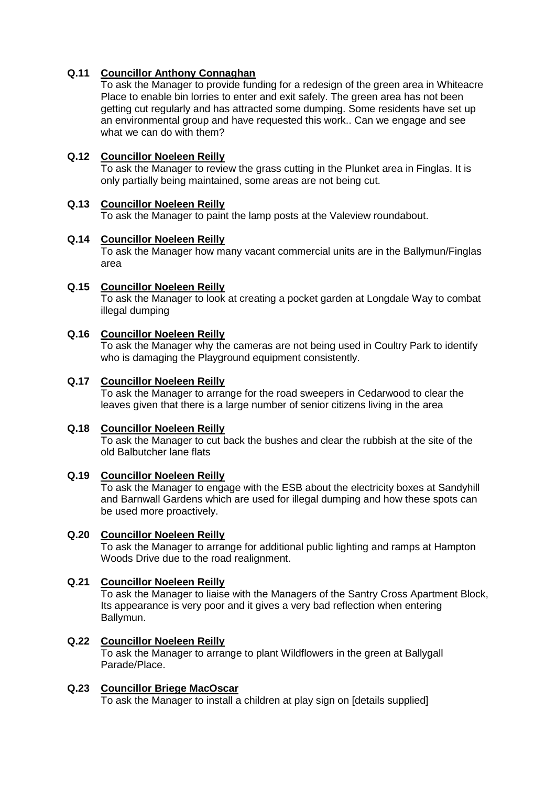# **Q.11 Councillor Anthony Connaghan**

To ask the Manager to provide funding for a redesign of the green area in Whiteacre Place to enable bin lorries to enter and exit safely. The green area has not been getting cut regularly and has attracted some dumping. Some residents have set up an environmental group and have requested this work.. Can we engage and see what we can do with them?

#### **Q.12 Councillor Noeleen Reilly**

To ask the Manager to review the grass cutting in the Plunket area in Finglas. It is only partially being maintained, some areas are not being cut.

#### **Q.13 Councillor Noeleen Reilly**

To ask the Manager to paint the lamp posts at the Valeview roundabout.

#### **Q.14 Councillor Noeleen Reilly**

To ask the Manager how many vacant commercial units are in the Ballymun/Finglas area

#### **Q.15 Councillor Noeleen Reilly**

To ask the Manager to look at creating a pocket garden at Longdale Way to combat illegal dumping

#### **Q.16 Councillor Noeleen Reilly**

To ask the Manager why the cameras are not being used in Coultry Park to identify who is damaging the Playground equipment consistently.

#### **Q.17 Councillor Noeleen Reilly**

To ask the Manager to arrange for the road sweepers in Cedarwood to clear the leaves given that there is a large number of senior citizens living in the area

#### **Q.18 Councillor Noeleen Reilly**

To ask the Manager to cut back the bushes and clear the rubbish at the site of the old Balbutcher lane flats

#### **Q.19 Councillor Noeleen Reilly**

To ask the Manager to engage with the ESB about the electricity boxes at Sandyhill and Barnwall Gardens which are used for illegal dumping and how these spots can be used more proactively.

#### **Q.20 Councillor Noeleen Reilly**

To ask the Manager to arrange for additional public lighting and ramps at Hampton Woods Drive due to the road realignment.

# **Q.21 Councillor Noeleen Reilly**

To ask the Manager to liaise with the Managers of the Santry Cross Apartment Block, Its appearance is very poor and it gives a very bad reflection when entering Ballymun.

#### **Q.22 Councillor Noeleen Reilly**

To ask the Manager to arrange to plant Wildflowers in the green at Ballygall Parade/Place.

#### **Q.23 Councillor Briege MacOscar**

To ask the Manager to install a children at play sign on [details supplied]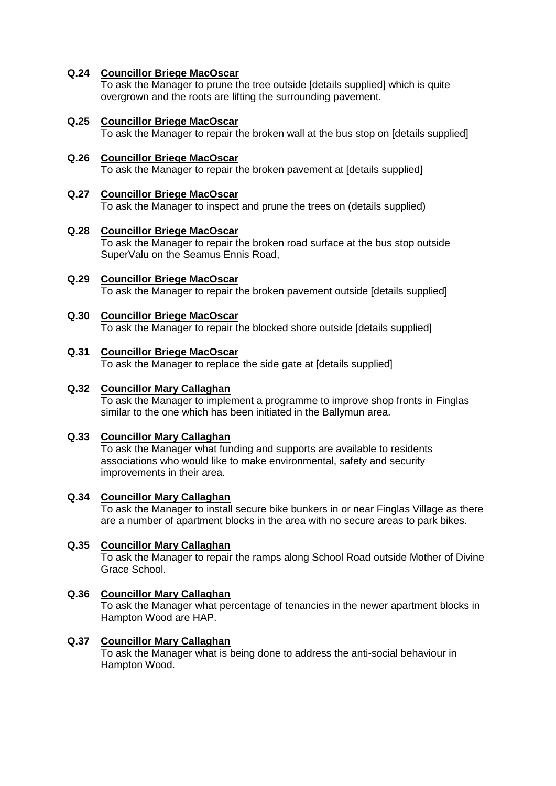# **Q.24 Councillor Briege MacOscar**

To ask the Manager to prune the tree outside [details supplied] which is quite overgrown and the roots are lifting the surrounding pavement.

#### **Q.25 Councillor Briege MacOscar**  To ask the Manager to repair the broken wall at the bus stop on [details supplied]

**Q.26 Councillor Briege MacOscar**  To ask the Manager to repair the broken pavement at [details supplied]

#### **Q.27 Councillor Briege MacOscar**

To ask the Manager to inspect and prune the trees on (details supplied)

#### **Q.28 Councillor Briege MacOscar**

To ask the Manager to repair the broken road surface at the bus stop outside SuperValu on the Seamus Ennis Road,

**Q.29 Councillor Briege MacOscar** To ask the Manager to repair the broken pavement outside [details supplied]

# **Q.30 Councillor Briege MacOscar**

To ask the Manager to repair the blocked shore outside [details supplied]

# **Q.31 Councillor Briege MacOscar**

To ask the Manager to replace the side gate at [details supplied]

#### **Q.32 Councillor Mary Callaghan**

To ask the Manager to implement a programme to improve shop fronts in Finglas similar to the one which has been initiated in the Ballymun area.

#### **Q.33 Councillor Mary Callaghan**

To ask the Manager what funding and supports are available to residents associations who would like to make environmental, safety and security improvements in their area.

#### **Q.34 Councillor Mary Callaghan**

To ask the Manager to install secure bike bunkers in or near Finglas Village as there are a number of apartment blocks in the area with no secure areas to park bikes.

#### **Q.35 Councillor Mary Callaghan**

To ask the Manager to repair the ramps along School Road outside Mother of Divine Grace School.

#### **Q.36 Councillor Mary Callaghan**

To ask the Manager what percentage of tenancies in the newer apartment blocks in Hampton Wood are HAP.

#### **Q.37 Councillor Mary Callaghan**

To ask the Manager what is being done to address the anti-social behaviour in Hampton Wood.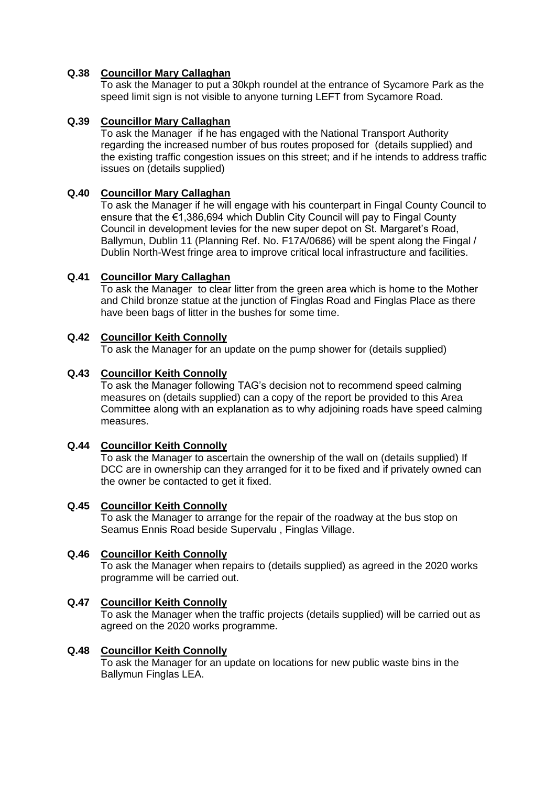# **Q.38 Councillor Mary Callaghan**

To ask the Manager to put a 30kph roundel at the entrance of Sycamore Park as the speed limit sign is not visible to anyone turning LEFT from Sycamore Road.

# **Q.39 Councillor Mary Callaghan**

To ask the Manager if he has engaged with the National Transport Authority regarding the increased number of bus routes proposed for (details supplied) and the existing traffic congestion issues on this street; and if he intends to address traffic issues on (details supplied)

### **Q.40 Councillor Mary Callaghan**

To ask the Manager if he will engage with his counterpart in Fingal County Council to ensure that the  $\epsilon$ 1,386,694 which Dublin City Council will pay to Fingal County Council in development levies for the new super depot on St. Margaret's Road, Ballymun, Dublin 11 (Planning Ref. No. F17A/0686) will be spent along the Fingal / Dublin North-West fringe area to improve critical local infrastructure and facilities.

#### **Q.41 Councillor Mary Callaghan**

To ask the Manager to clear litter from the green area which is home to the Mother and Child bronze statue at the junction of Finglas Road and Finglas Place as there have been bags of litter in the bushes for some time.

#### **Q.42 Councillor Keith Connolly**

To ask the Manager for an update on the pump shower for (details supplied)

#### **Q.43 Councillor Keith Connolly**

To ask the Manager following TAG's decision not to recommend speed calming measures on (details supplied) can a copy of the report be provided to this Area Committee along with an explanation as to why adjoining roads have speed calming measures.

#### **Q.44 Councillor Keith Connolly**

To ask the Manager to ascertain the ownership of the wall on (details supplied) If DCC are in ownership can they arranged for it to be fixed and if privately owned can the owner be contacted to get it fixed.

#### **Q.45 Councillor Keith Connolly**

To ask the Manager to arrange for the repair of the roadway at the bus stop on Seamus Ennis Road beside Supervalu , Finglas Village.

# **Q.46 Councillor Keith Connolly**

To ask the Manager when repairs to (details supplied) as agreed in the 2020 works programme will be carried out.

#### **Q.47 Councillor Keith Connolly**

To ask the Manager when the traffic projects (details supplied) will be carried out as agreed on the 2020 works programme.

#### **Q.48 Councillor Keith Connolly**

To ask the Manager for an update on locations for new public waste bins in the Ballymun Finglas LEA.